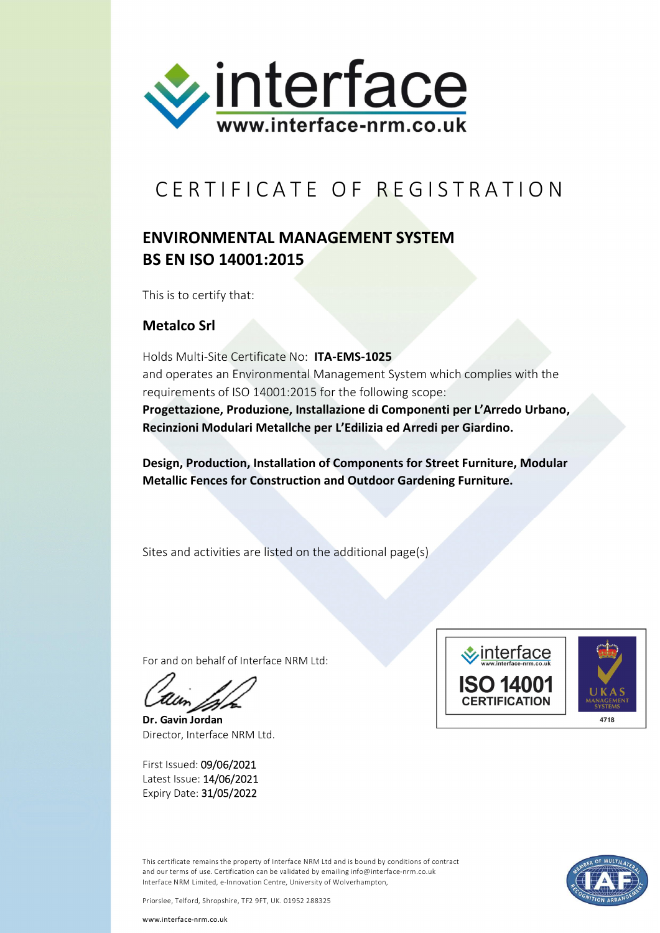

## CERTIFICATE OF REGISTRATION

## **ENVIRONMENTAL MANAGEMENT SYSTEM BS EN ISO 14001:2015**

This is to certify that:

## **Metalco Srl**

Holds Multi-Site Certificate No: **ITA-EMS-1025** and operates an Environmental Management System which complies with the requirements of ISO 14001:2015 for the following scope: **Progettazione, Produzione, Installazione di Componenti per L'Arredo Urbano, Recinzioni Modulari Metallche per L'Edilizia ed Arredi per Giardino.**

**Design, Production, Installation of Components for Street Furniture, Modular Metallic Fences for Construction and Outdoor Gardening Furniture.**

Sites and activities are listed on the additional page(s)

For and on behalf of Interface NRM Ltd:

**Dr. Gavin Jordan** Director, Interface NRM Ltd.

First Issued: 09/06/2021 Latest Issue: 14/06/2021 Expiry Date: 31/05/2022



This certificate remains the property of Interface NRM Ltd and is bound by conditions of contract and our terms of use. Certification can be validated by emailing info@interface-nrm.co.uk Interface NRM Limited, e-Innovation Centre, University of Wolverhampton,



Priorslee, Telford, Shropshire, TF2 9FT, UK. 01952 288325

www.interface-nrm.co.uk